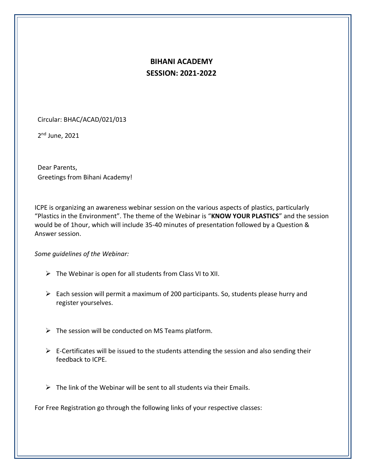## **BIHANI ACADEMY SESSION: 2021-2022**

Circular: BHAC/ACAD/021/013

2<sup>nd</sup> June, 2021

Dear Parents, Greetings from Bihani Academy!

ICPE is organizing an awareness webinar session on the various aspects of plastics, particularly "Plastics in the Environment". The theme of the Webinar is "**KNOW YOUR PLASTICS**" and the session would be of 1hour, which will include 35-40 minutes of presentation followed by a Question & Answer session.

*Some guidelines of the Webinar:*

- $\triangleright$  The Webinar is open for all students from Class VI to XII.
- ➢ Each session will permit a maximum of 200 participants. So, students please hurry and register yourselves.
- $\triangleright$  The session will be conducted on MS Teams platform.
- $\triangleright$  E-Certificates will be issued to the students attending the session and also sending their feedback to ICPE.
- $\triangleright$  The link of the Webinar will be sent to all students via their Emails.

For Free Registration go through the following links of your respective classes: